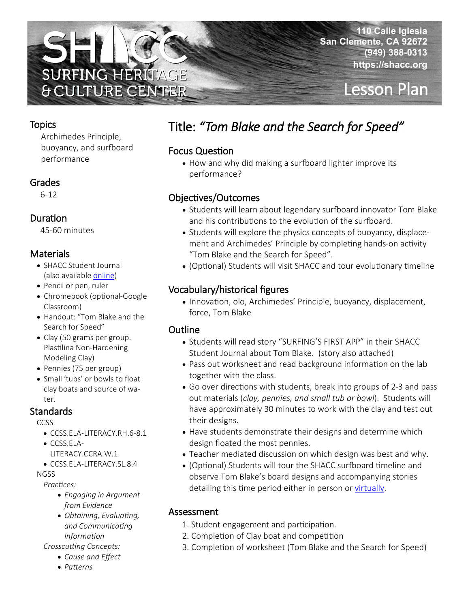

# Lesson Plan

#### **Topics**

Archimedes Principle, buoyancy, and surfboard performance

#### Grades

6-12

### Duration

45-60 minutes

### **Materials**

- SHACC Student Journal (also available [online\)](emp)
- Pencil or pen, ruler
- Chromebook (optional-Google Classroom)
- Handout: "Tom Blake and the Search for Speed"
- Clay (50 grams per group. Plastilina Non-Hardening Modeling Clay)
- Pennies (75 per group)
- Small 'tubs' or bowls to float clay boats and source of water.

### **Standards**

**CCSS** 

- CCSS.ELA-LITERACY.RH.6-8.1
- CCSS.ELA-
	- LITERACY.CCRA.W.1
- CCSS.ELA-LITERACY.SL.8.4

#### **NGSS**

*Practices:* 

- *Engaging in Argument from Evidence*
- *Obtaining, Evaluating, and Communicating Information*
- *Crosscutting Concepts:* 
	- *Cause and Effect*
	- *Patterns*

# Title: *"Tom Blake and the Search for Speed"*

#### Focus Question

• How and why did making a surfboard lighter improve its performance?

### Objectives/Outcomes

- Students will learn about legendary surfboard innovator Tom Blake and his contributions to the evolution of the surfboard.
- Students will explore the physics concepts of buoyancy, displacement and Archimedes' Principle by completing hands-on activity "Tom Blake and the Search for Speed".
- (Optional) Students will visit SHACC and tour evolutionary timeline

### Vocabulary/historical figures

• Innovation, olo, Archimedes' Principle, buoyancy, displacement, force, Tom Blake

### **Outline**

- Students will read story "SURFING'S FIRST APP" in their SHACC Student Journal about Tom Blake. (story also attached)
- Pass out worksheet and read background information on the lab together with the class.
- Go over directions with students, break into groups of 2-3 and pass out materials (*clay, pennies, and small tub or bowl*). Students will have approximately 30 minutes to work with the clay and test out their designs.
- Have students demonstrate their designs and determine which design floated the most pennies.
- Teacher mediated discussion on which design was best and why.
- (Optional) Students will tour the SHACC surfboard timeline and observe Tom Blake's board designs and accompanying stories detailing this time period either in person or [virtually.](temp)

### Assessment

- 1. Student engagement and participation.
- 2. Completion of Clay boat and competition
- 3. Completion of worksheet (Tom Blake and the Search for Speed)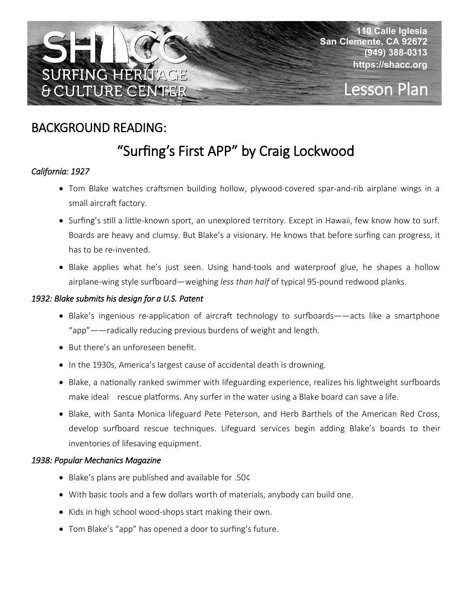

# Lesson Plan

## BACKGROUND READING:

# "Surfing's First APP" by Craig Lockwood

#### *California: 1927*

- Tom Blake watches craftsmen building hollow, plywood-covered spar-and-rib airplane wings in a small aircraft factory.
- Surfing's still a little-known sport, an unexplored territory. Except in Hawaii, few know how to surf. Boards are heavy and clumsy. But Blake's a visionary. He knows that before surfing can progress, it has to be re-invented.
- Blake applies what he's just seen. Using hand-tools and waterproof glue, he shapes a hollow airplane-wing style surfboard—weighing *less than half* of typical 95-pound redwood planks.

#### *1932: Blake submits his design for a U.S. Patent*

- Blake's ingenious re-application of aircraft technology to surfboards——acts like a smartphone "app"——radically reducing previous burdens of weight and length.
- But there's an unforeseen benefit.
- In the 1930s, America's largest cause of accidental death is drowning.
- Blake, a nationally ranked swimmer with lifeguarding experience, realizes his lightweight surfboards make ideal rescue platforms. Any surfer in the water using a Blake board can save a life.
- Blake, with Santa Monica lifeguard Pete Peterson, and Herb Barthels of the American Red Cross, develop surfboard rescue techniques. Lifeguard services begin adding Blake's boards to their inventories of lifesaving equipment.

#### *1938: Popular Mechanics Magazine*

- Blake's plans are published and available for .50¢
- With basic tools and a few dollars worth of materials, anybody can build one.
- Kids in high school wood-shops start making their own.
- Tom Blake's "app" has opened a door to surfing's future.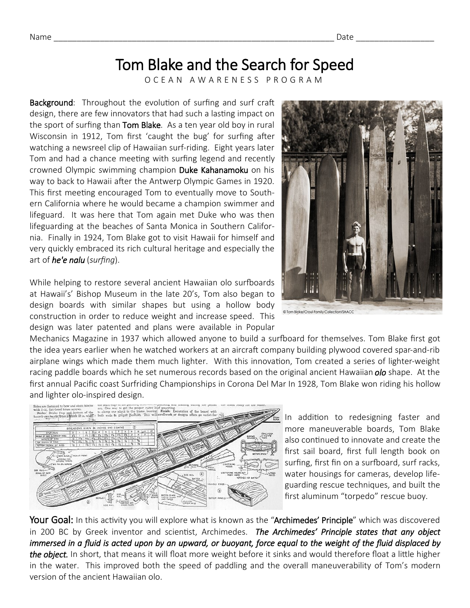## Tom Blake and the Search for Speed

O C E A N A W A R E N E S S P R O G R A M

**Background:** Throughout the evolution of surfing and surf craft design, there are few innovators that had such a lasting impact on the sport of surfing than Tom Blake. As a ten year old boy in rural Wisconsin in 1912, Tom first 'caught the bug' for surfing after watching a newsreel clip of Hawaiian surf-riding. Eight years later Tom and had a chance meeting with surfing legend and recently crowned Olympic swimming champion Duke Kahanamoku on his way to back to Hawaii after the Antwerp Olympic Games in 1920. This first meeting encouraged Tom to eventually move to Southern California where he would became a champion swimmer and lifeguard. It was here that Tom again met Duke who was then lifeguarding at the beaches of Santa Monica in Southern California. Finally in 1924, Tom Blake got to visit Hawaii for himself and very quickly embraced its rich cultural heritage and especially the art of *he'e nalu* (*surfing*).

While helping to restore several ancient Hawaiian olo surfboards at Hawaii's' Bishop Museum in the late 20's, Tom also began to design boards with similar shapes but using a hollow body construction in order to reduce weight and increase speed. This design was later patented and plans were available in Popular

Mechanics Magazine in 1937 which allowed anyone to build a surfboard for themselves. Tom Blake first got the idea years earlier when he watched workers at an aircraft company building plywood covered spar-and-rib airplane wings which made them much lighter. With this innovation, Tom created a series of lighter-weight racing paddle boards which he set numerous records based on the original ancient Hawaiian *olo* shape. At the first annual Pacific coast Surfriding Championships in Corona Del Mar In 1928, Tom Blake won riding his hollow and lighter olo-inspired design.

In addition to redesigning faster and

more maneuverable boards, Tom Blake also continued to innovate and create the first sail board, first full length book on surfing, first fin on a surfboard, surf racks, water housings for cameras, develop lifeguarding rescue techniques, and built the first aluminum "torpedo" rescue buoy.

Your Goal: In this activity you will explore what is known as the "Archimedes' Principle" which was discovered in 200 BC by Greek inventor and scientist, Archimedes. *The Archimedes' Principle states that any object immersed in a fluid is acted upon by an upward, or buoyant, force equal to the weight of the fluid displaced by the object.* In short, that means it will float more weight before it sinks and would therefore float a little higher in the water. This improved both the speed of paddling and the overall maneuverability of Tom's modern version of the ancient Hawaiian olo.



@ Tom Blake/Croul Family Collection/SHACC